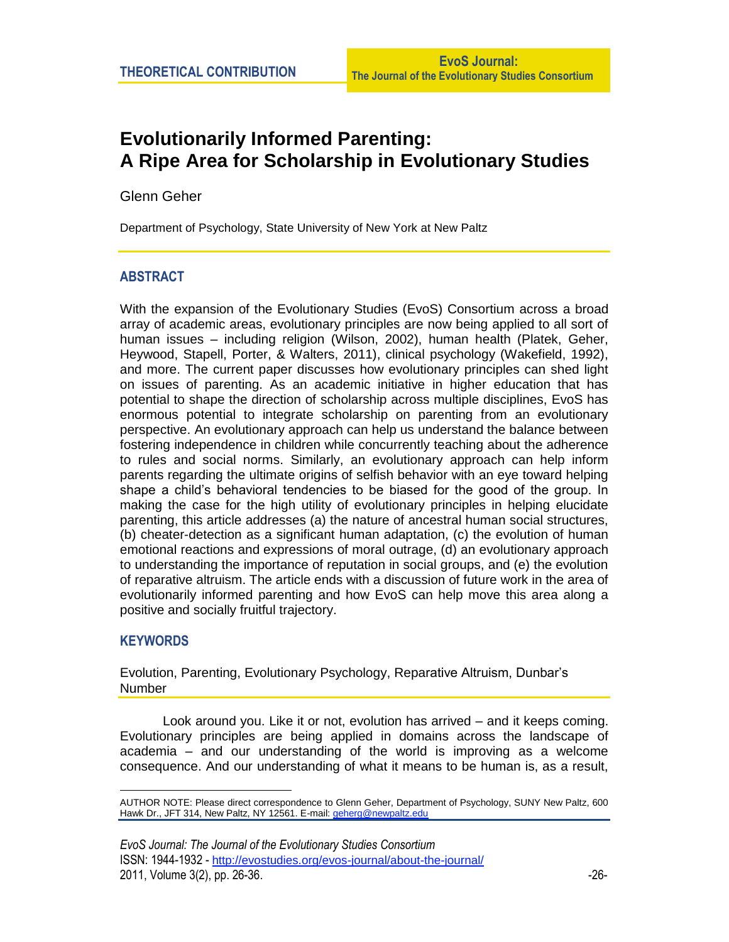# **Evolutionarily Informed Parenting: A Ripe Area for Scholarship in Evolutionary Studies**

Glenn Geher\*

Department of Psychology, State University of New York at New Paltz

## **ABSTRACT**

With the expansion of the Evolutionary Studies (EvoS) Consortium across a broad array of academic areas, evolutionary principles are now being applied to all sort of human issues – including religion (Wilson, 2002), human health (Platek, Geher, Heywood, Stapell, Porter, & Walters, 2011), clinical psychology (Wakefield, 1992), and more. The current paper discusses how evolutionary principles can shed light on issues of parenting. As an academic initiative in higher education that has potential to shape the direction of scholarship across multiple disciplines, EvoS has enormous potential to integrate scholarship on parenting from an evolutionary perspective. An evolutionary approach can help us understand the balance between fostering independence in children while concurrently teaching about the adherence to rules and social norms. Similarly, an evolutionary approach can help inform parents regarding the ultimate origins of selfish behavior with an eye toward helping shape a child's behavioral tendencies to be biased for the good of the group. In making the case for the high utility of evolutionary principles in helping elucidate parenting, this article addresses (a) the nature of ancestral human social structures, (b) cheater-detection as a significant human adaptation, (c) the evolution of human emotional reactions and expressions of moral outrage, (d) an evolutionary approach to understanding the importance of reputation in social groups, and (e) the evolution of reparative altruism. The article ends with a discussion of future work in the area of evolutionarily informed parenting and how EvoS can help move this area along a positive and socially fruitful trajectory.

## **KEYWORDS**

Evolution, Parenting, Evolutionary Psychology, Reparative Altruism, Dunbar's Number

Look around you. Like it or not, evolution has arrived – and it keeps coming. Evolutionary principles are being applied in domains across the landscape of academia – and our understanding of the world is improving as a welcome consequence. And our understanding of what it means to be human is, as a result,

 $\overline{a}$ AUTHOR NOTE: Please direct correspondence to Glenn Geher, Department of Psychology, SUNY New Paltz, 600 Hawk Dr., JFT 314, New Paltz, NY 12561. E-mail[: geherg@newpaltz.edu](mailto:geherg@newpaltz.edu)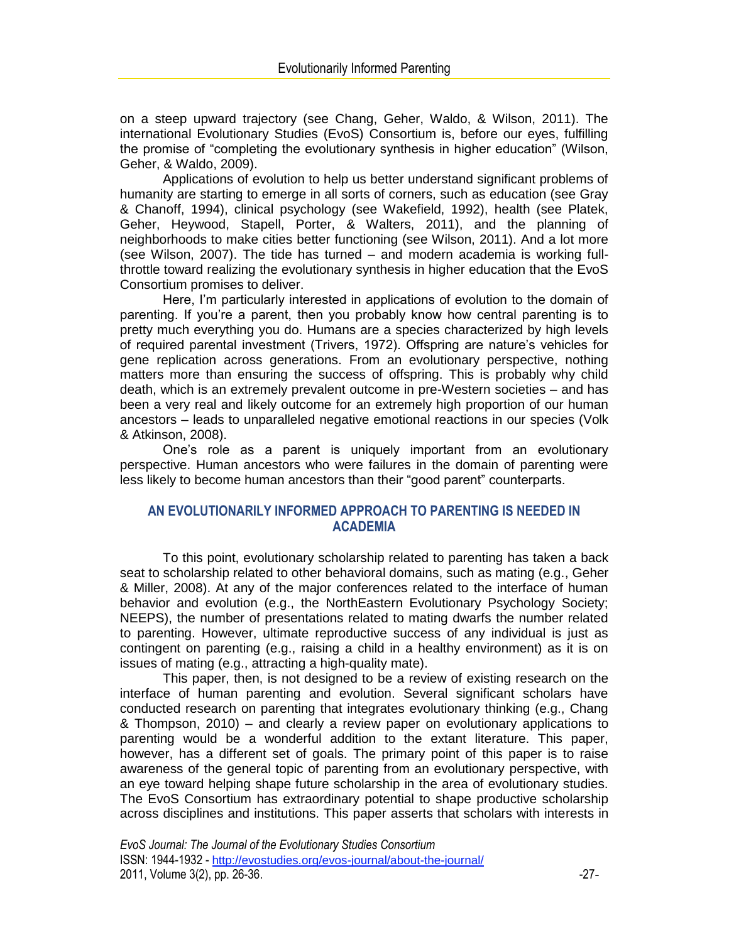on a steep upward trajectory (see Chang, Geher, Waldo, & Wilson, 2011). The international Evolutionary Studies (EvoS) Consortium is, before our eyes, fulfilling the promise of "completing the evolutionary synthesis in higher education" (Wilson, Geher, & Waldo, 2009).

Applications of evolution to help us better understand significant problems of humanity are starting to emerge in all sorts of corners, such as education (see Gray & Chanoff, 1994), clinical psychology (see Wakefield, 1992), health (see Platek, Geher, Heywood, Stapell, Porter, & Walters, 2011), and the planning of neighborhoods to make cities better functioning (see Wilson, 2011). And a lot more (see Wilson, 2007). The tide has turned – and modern academia is working fullthrottle toward realizing the evolutionary synthesis in higher education that the EvoS Consortium promises to deliver.

Here, I'm particularly interested in applications of evolution to the domain of parenting. If you're a parent, then you probably know how central parenting is to pretty much everything you do. Humans are a species characterized by high levels of required parental investment (Trivers, 1972). Offspring are nature's vehicles for gene replication across generations. From an evolutionary perspective, nothing matters more than ensuring the success of offspring. This is probably why child death, which is an extremely prevalent outcome in pre-Western societies – and has been a very real and likely outcome for an extremely high proportion of our human ancestors – leads to unparalleled negative emotional reactions in our species (Volk & Atkinson, 2008).

One's role as a parent is uniquely important from an evolutionary perspective. Human ancestors who were failures in the domain of parenting were less likely to become human ancestors than their "good parent" counterparts.

## **AN EVOLUTIONARILY INFORMED APPROACH TO PARENTING IS NEEDED IN ACADEMIA**

To this point, evolutionary scholarship related to parenting has taken a back seat to scholarship related to other behavioral domains, such as mating (e.g., Geher & Miller, 2008). At any of the major conferences related to the interface of human behavior and evolution (e.g., the NorthEastern Evolutionary Psychology Society; NEEPS), the number of presentations related to mating dwarfs the number related to parenting. However, ultimate reproductive success of any individual is just as contingent on parenting (e.g., raising a child in a healthy environment) as it is on issues of mating (e.g., attracting a high-quality mate).

This paper, then, is not designed to be a review of existing research on the interface of human parenting and evolution. Several significant scholars have conducted research on parenting that integrates evolutionary thinking (e.g., Chang & Thompson, 2010) – and clearly a review paper on evolutionary applications to parenting would be a wonderful addition to the extant literature. This paper, however, has a different set of goals. The primary point of this paper is to raise awareness of the general topic of parenting from an evolutionary perspective, with an eye toward helping shape future scholarship in the area of evolutionary studies. The EvoS Consortium has extraordinary potential to shape productive scholarship across disciplines and institutions. This paper asserts that scholars with interests in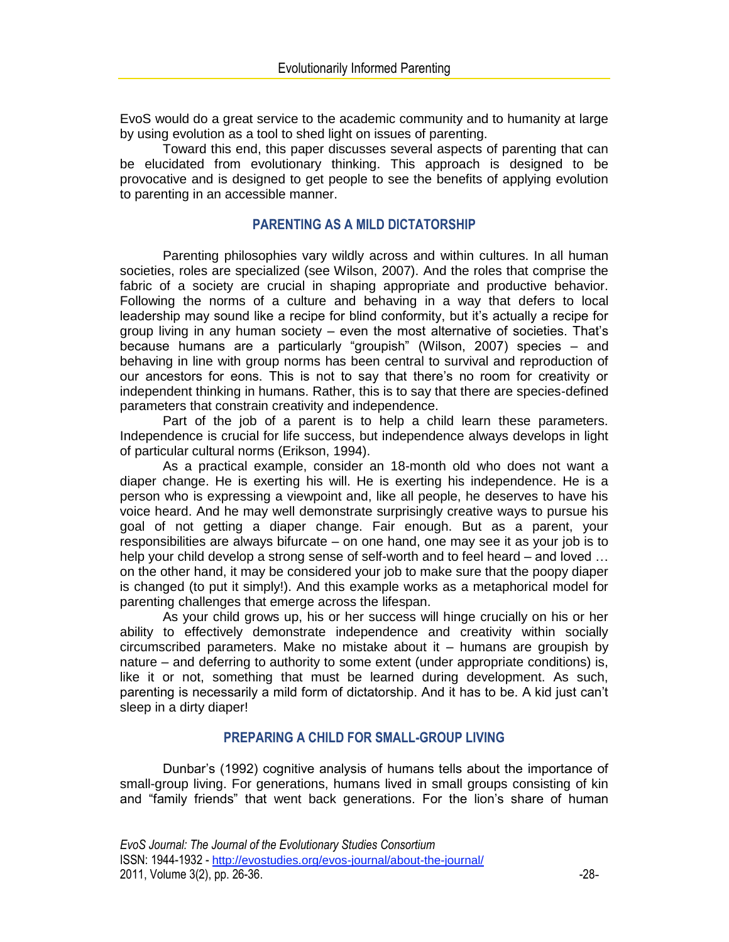EvoS would do a great service to the academic community and to humanity at large by using evolution as a tool to shed light on issues of parenting.

Toward this end, this paper discusses several aspects of parenting that can be elucidated from evolutionary thinking. This approach is designed to be provocative and is designed to get people to see the benefits of applying evolution to parenting in an accessible manner.

#### **PARENTING AS A MILD DICTATORSHIP**

Parenting philosophies vary wildly across and within cultures. In all human societies, roles are specialized (see Wilson, 2007). And the roles that comprise the fabric of a society are crucial in shaping appropriate and productive behavior. Following the norms of a culture and behaving in a way that defers to local leadership may sound like a recipe for blind conformity, but it's actually a recipe for group living in any human society – even the most alternative of societies. That's because humans are a particularly "groupish" (Wilson, 2007) species – and behaving in line with group norms has been central to survival and reproduction of our ancestors for eons. This is not to say that there's no room for creativity or independent thinking in humans. Rather, this is to say that there are species-defined parameters that constrain creativity and independence.

Part of the job of a parent is to help a child learn these parameters. Independence is crucial for life success, but independence always develops in light of particular cultural norms (Erikson, 1994).

As a practical example, consider an 18-month old who does not want a diaper change. He is exerting his will. He is exerting his independence. He is a person who is expressing a viewpoint and, like all people, he deserves to have his voice heard. And he may well demonstrate surprisingly creative ways to pursue his goal of not getting a diaper change. Fair enough. But as a parent, your responsibilities are always bifurcate – on one hand, one may see it as your job is to help your child develop a strong sense of self-worth and to feel heard – and loved … on the other hand, it may be considered your job to make sure that the poopy diaper is changed (to put it simply!). And this example works as a metaphorical model for parenting challenges that emerge across the lifespan.

As your child grows up, his or her success will hinge crucially on his or her ability to effectively demonstrate independence and creativity within socially circumscribed parameters. Make no mistake about it – humans are groupish by nature – and deferring to authority to some extent (under appropriate conditions) is, like it or not, something that must be learned during development. As such, parenting is necessarily a mild form of dictatorship. And it has to be. A kid just can't sleep in a dirty diaper!

#### **PREPARING A CHILD FOR SMALL-GROUP LIVING**

Dunbar's (1992) cognitive analysis of humans tells about the importance of small-group living. For generations, humans lived in small groups consisting of kin and "family friends" that went back generations. For the lion's share of human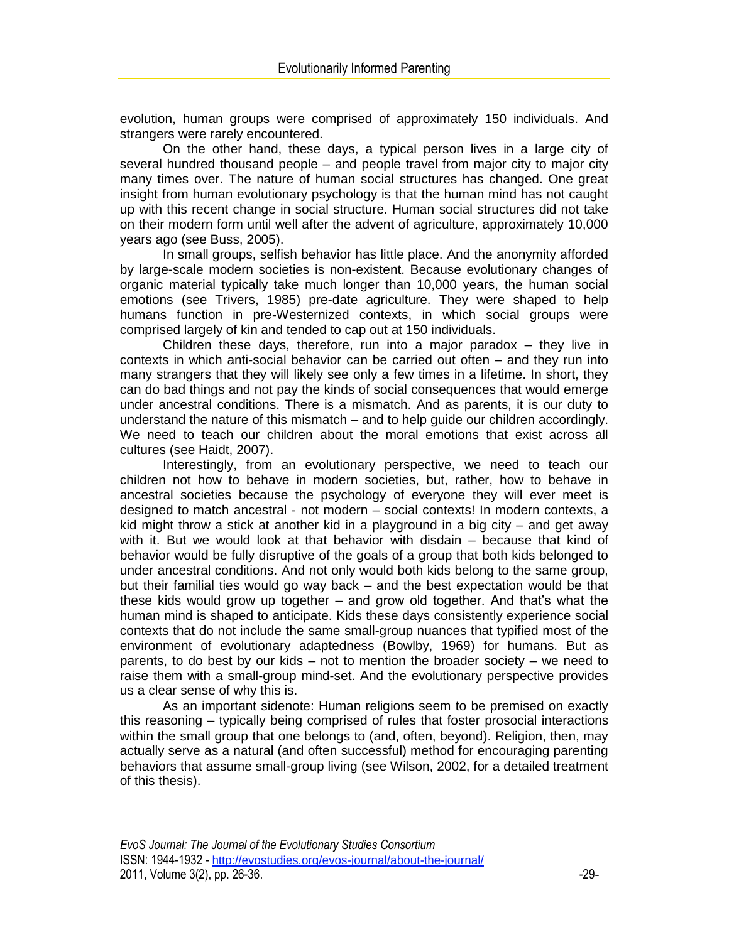evolution, human groups were comprised of approximately 150 individuals. And strangers were rarely encountered.

On the other hand, these days, a typical person lives in a large city of several hundred thousand people – and people travel from major city to major city many times over. The nature of human social structures has changed. One great insight from human evolutionary psychology is that the human mind has not caught up with this recent change in social structure. Human social structures did not take on their modern form until well after the advent of agriculture, approximately 10,000 years ago (see Buss, 2005).

In small groups, selfish behavior has little place. And the anonymity afforded by large-scale modern societies is non-existent. Because evolutionary changes of organic material typically take much longer than 10,000 years, the human social emotions (see Trivers, 1985) pre-date agriculture. They were shaped to help humans function in pre-Westernized contexts, in which social groups were comprised largely of kin and tended to cap out at 150 individuals.

Children these days, therefore, run into a major paradox  $-$  they live in contexts in which anti-social behavior can be carried out often – and they run into many strangers that they will likely see only a few times in a lifetime. In short, they can do bad things and not pay the kinds of social consequences that would emerge under ancestral conditions. There is a mismatch. And as parents, it is our duty to understand the nature of this mismatch – and to help guide our children accordingly. We need to teach our children about the moral emotions that exist across all cultures (see Haidt, 2007).

Interestingly, from an evolutionary perspective, we need to teach our children not how to behave in modern societies, but, rather, how to behave in ancestral societies because the psychology of everyone they will ever meet is designed to match ancestral - not modern – social contexts! In modern contexts, a kid might throw a stick at another kid in a playground in a big city  $-$  and get away with it. But we would look at that behavior with disdain – because that kind of behavior would be fully disruptive of the goals of a group that both kids belonged to under ancestral conditions. And not only would both kids belong to the same group, but their familial ties would go way back – and the best expectation would be that these kids would grow up together – and grow old together. And that's what the human mind is shaped to anticipate. Kids these days consistently experience social contexts that do not include the same small-group nuances that typified most of the environment of evolutionary adaptedness (Bowlby, 1969) for humans. But as parents, to do best by our kids – not to mention the broader society – we need to raise them with a small-group mind-set. And the evolutionary perspective provides us a clear sense of why this is.

As an important sidenote: Human religions seem to be premised on exactly this reasoning – typically being comprised of rules that foster prosocial interactions within the small group that one belongs to (and, often, beyond). Religion, then, may actually serve as a natural (and often successful) method for encouraging parenting behaviors that assume small-group living (see Wilson, 2002, for a detailed treatment of this thesis).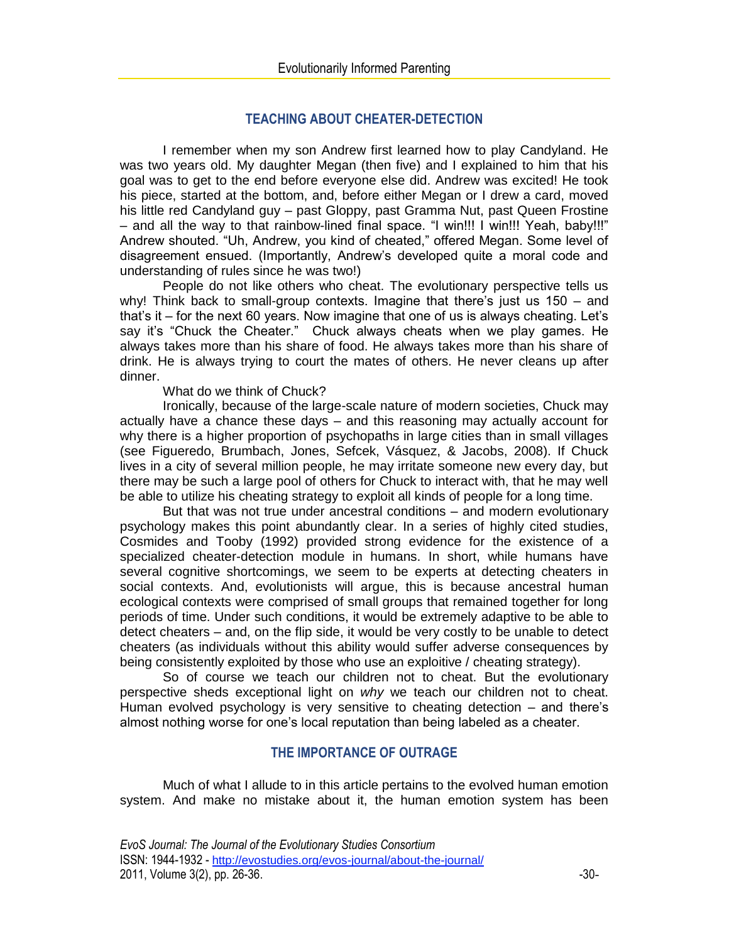# **TEACHING ABOUT CHEATER-DETECTION**

I remember when my son Andrew first learned how to play Candyland. He was two years old. My daughter Megan (then five) and I explained to him that his goal was to get to the end before everyone else did. Andrew was excited! He took his piece, started at the bottom, and, before either Megan or I drew a card, moved his little red Candyland guy – past Gloppy, past Gramma Nut, past Queen Frostine – and all the way to that rainbow-lined final space. "I win!!! I win!!! Yeah, baby!!!" Andrew shouted. "Uh, Andrew, you kind of cheated," offered Megan. Some level of disagreement ensued. (Importantly, Andrew's developed quite a moral code and understanding of rules since he was two!)

People do not like others who cheat. The evolutionary perspective tells us why! Think back to small-group contexts. Imagine that there's just us 150 – and that's it – for the next 60 years. Now imagine that one of us is always cheating. Let's say it's "Chuck the Cheater." Chuck always cheats when we play games. He always takes more than his share of food. He always takes more than his share of drink. He is always trying to court the mates of others. He never cleans up after dinner.

#### What do we think of Chuck?

Ironically, because of the large-scale nature of modern societies, Chuck may actually have a chance these days – and this reasoning may actually account for why there is a higher proportion of psychopaths in large cities than in small villages (see Figueredo, Brumbach, Jones, Sefcek, Vásquez, & Jacobs, 2008). If Chuck lives in a city of several million people, he may irritate someone new every day, but there may be such a large pool of others for Chuck to interact with, that he may well be able to utilize his cheating strategy to exploit all kinds of people for a long time.

But that was not true under ancestral conditions – and modern evolutionary psychology makes this point abundantly clear. In a series of highly cited studies, Cosmides and Tooby (1992) provided strong evidence for the existence of a specialized cheater-detection module in humans. In short, while humans have several cognitive shortcomings, we seem to be experts at detecting cheaters in social contexts. And, evolutionists will argue, this is because ancestral human ecological contexts were comprised of small groups that remained together for long periods of time. Under such conditions, it would be extremely adaptive to be able to detect cheaters – and, on the flip side, it would be very costly to be unable to detect cheaters (as individuals without this ability would suffer adverse consequences by being consistently exploited by those who use an exploitive / cheating strategy).

So of course we teach our children not to cheat. But the evolutionary perspective sheds exceptional light on *why* we teach our children not to cheat. Human evolved psychology is very sensitive to cheating detection – and there's almost nothing worse for one's local reputation than being labeled as a cheater.

## **THE IMPORTANCE OF OUTRAGE**

Much of what I allude to in this article pertains to the evolved human emotion system. And make no mistake about it, the human emotion system has been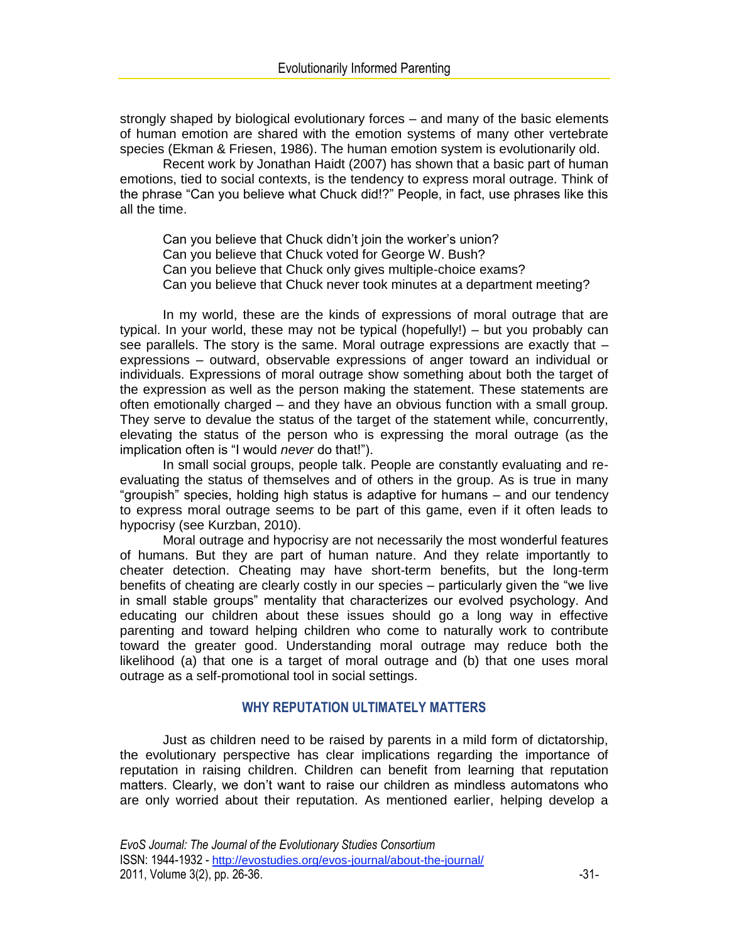strongly shaped by biological evolutionary forces – and many of the basic elements of human emotion are shared with the emotion systems of many other vertebrate species (Ekman & Friesen, 1986). The human emotion system is evolutionarily old.

Recent work by Jonathan Haidt (2007) has shown that a basic part of human emotions, tied to social contexts, is the tendency to express moral outrage. Think of the phrase "Can you believe what Chuck did!?" People, in fact, use phrases like this all the time.

Can you believe that Chuck didn't join the worker's union? Can you believe that Chuck voted for George W. Bush? Can you believe that Chuck only gives multiple-choice exams? Can you believe that Chuck never took minutes at a department meeting?

In my world, these are the kinds of expressions of moral outrage that are typical. In your world, these may not be typical (hopefully!) – but you probably can see parallels. The story is the same. Moral outrage expressions are exactly that – expressions – outward, observable expressions of anger toward an individual or individuals. Expressions of moral outrage show something about both the target of the expression as well as the person making the statement. These statements are often emotionally charged – and they have an obvious function with a small group. They serve to devalue the status of the target of the statement while, concurrently, elevating the status of the person who is expressing the moral outrage (as the implication often is "I would *never* do that!").

In small social groups, people talk. People are constantly evaluating and reevaluating the status of themselves and of others in the group. As is true in many "groupish" species, holding high status is adaptive for humans – and our tendency to express moral outrage seems to be part of this game, even if it often leads to hypocrisy (see Kurzban, 2010).

Moral outrage and hypocrisy are not necessarily the most wonderful features of humans. But they are part of human nature. And they relate importantly to cheater detection. Cheating may have short-term benefits, but the long-term benefits of cheating are clearly costly in our species – particularly given the "we live in small stable groups" mentality that characterizes our evolved psychology. And educating our children about these issues should go a long way in effective parenting and toward helping children who come to naturally work to contribute toward the greater good. Understanding moral outrage may reduce both the likelihood (a) that one is a target of moral outrage and (b) that one uses moral outrage as a self-promotional tool in social settings.

#### **WHY REPUTATION ULTIMATELY MATTERS**

Just as children need to be raised by parents in a mild form of dictatorship, the evolutionary perspective has clear implications regarding the importance of reputation in raising children. Children can benefit from learning that reputation matters. Clearly, we don't want to raise our children as mindless automatons who are only worried about their reputation. As mentioned earlier, helping develop a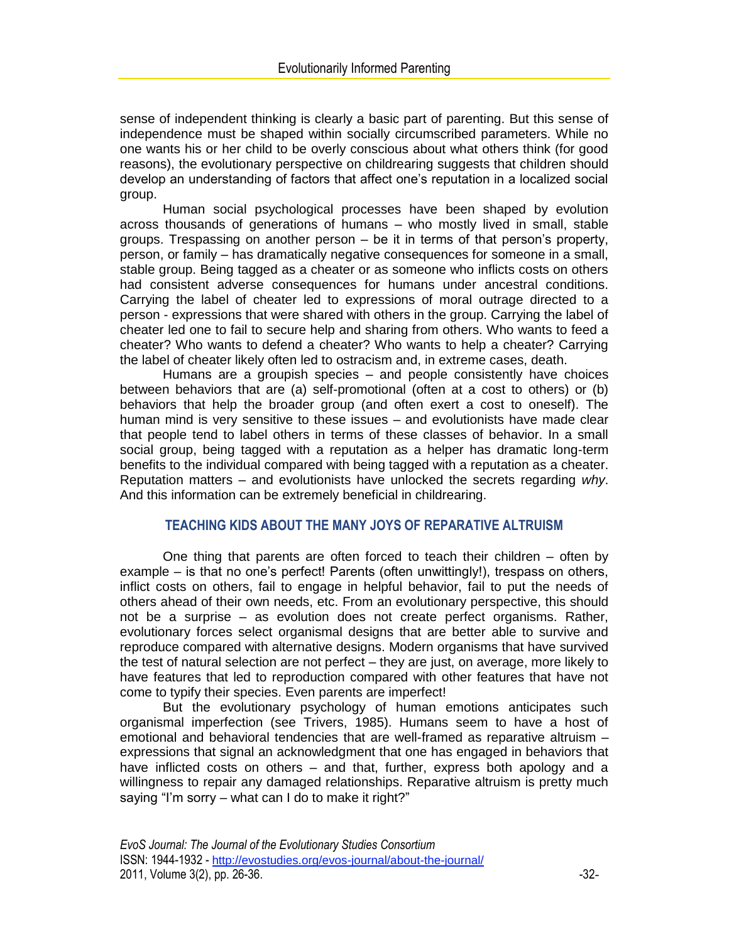sense of independent thinking is clearly a basic part of parenting. But this sense of independence must be shaped within socially circumscribed parameters. While no one wants his or her child to be overly conscious about what others think (for good reasons), the evolutionary perspective on childrearing suggests that children should develop an understanding of factors that affect one's reputation in a localized social group.

Human social psychological processes have been shaped by evolution across thousands of generations of humans – who mostly lived in small, stable groups. Trespassing on another person – be it in terms of that person's property, person, or family – has dramatically negative consequences for someone in a small, stable group. Being tagged as a cheater or as someone who inflicts costs on others had consistent adverse consequences for humans under ancestral conditions. Carrying the label of cheater led to expressions of moral outrage directed to a person - expressions that were shared with others in the group. Carrying the label of cheater led one to fail to secure help and sharing from others. Who wants to feed a cheater? Who wants to defend a cheater? Who wants to help a cheater? Carrying the label of cheater likely often led to ostracism and, in extreme cases, death.

Humans are a groupish species – and people consistently have choices between behaviors that are (a) self-promotional (often at a cost to others) or (b) behaviors that help the broader group (and often exert a cost to oneself). The human mind is very sensitive to these issues – and evolutionists have made clear that people tend to label others in terms of these classes of behavior. In a small social group, being tagged with a reputation as a helper has dramatic long-term benefits to the individual compared with being tagged with a reputation as a cheater. Reputation matters – and evolutionists have unlocked the secrets regarding *why*. And this information can be extremely beneficial in childrearing.

## **TEACHING KIDS ABOUT THE MANY JOYS OF REPARATIVE ALTRUISM**

One thing that parents are often forced to teach their children – often by example – is that no one's perfect! Parents (often unwittingly!), trespass on others, inflict costs on others, fail to engage in helpful behavior, fail to put the needs of others ahead of their own needs, etc. From an evolutionary perspective, this should not be a surprise – as evolution does not create perfect organisms. Rather, evolutionary forces select organismal designs that are better able to survive and reproduce compared with alternative designs. Modern organisms that have survived the test of natural selection are not perfect – they are just, on average, more likely to have features that led to reproduction compared with other features that have not come to typify their species. Even parents are imperfect!

But the evolutionary psychology of human emotions anticipates such organismal imperfection (see Trivers, 1985). Humans seem to have a host of emotional and behavioral tendencies that are well-framed as reparative altruism – expressions that signal an acknowledgment that one has engaged in behaviors that have inflicted costs on others – and that, further, express both apology and a willingness to repair any damaged relationships. Reparative altruism is pretty much saying "I'm sorry – what can I do to make it right?"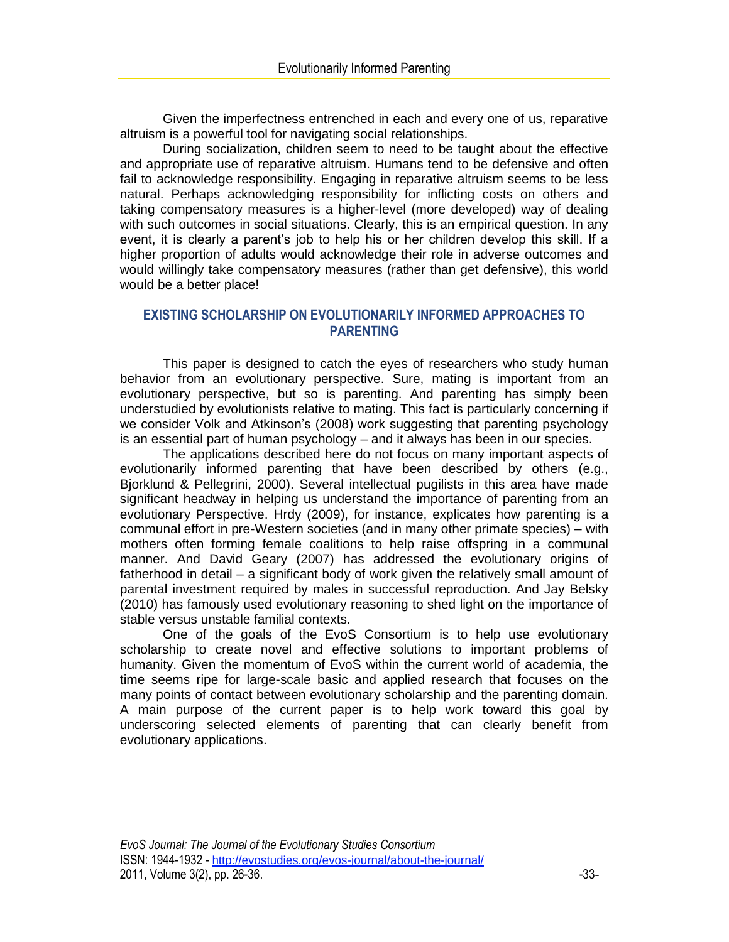Given the imperfectness entrenched in each and every one of us, reparative altruism is a powerful tool for navigating social relationships.

During socialization, children seem to need to be taught about the effective and appropriate use of reparative altruism. Humans tend to be defensive and often fail to acknowledge responsibility. Engaging in reparative altruism seems to be less natural. Perhaps acknowledging responsibility for inflicting costs on others and taking compensatory measures is a higher-level (more developed) way of dealing with such outcomes in social situations. Clearly, this is an empirical question. In any event, it is clearly a parent's job to help his or her children develop this skill. If a higher proportion of adults would acknowledge their role in adverse outcomes and would willingly take compensatory measures (rather than get defensive), this world would be a better place!

# **EXISTING SCHOLARSHIP ON EVOLUTIONARILY INFORMED APPROACHES TO PARENTING**

This paper is designed to catch the eyes of researchers who study human behavior from an evolutionary perspective. Sure, mating is important from an evolutionary perspective, but so is parenting. And parenting has simply been understudied by evolutionists relative to mating. This fact is particularly concerning if we consider Volk and Atkinson's (2008) work suggesting that parenting psychology is an essential part of human psychology – and it always has been in our species.

The applications described here do not focus on many important aspects of evolutionarily informed parenting that have been described by others (e.g., Bjorklund & Pellegrini, 2000). Several intellectual pugilists in this area have made significant headway in helping us understand the importance of parenting from an evolutionary Perspective. Hrdy (2009), for instance, explicates how parenting is a communal effort in pre-Western societies (and in many other primate species) – with mothers often forming female coalitions to help raise offspring in a communal manner. And David Geary (2007) has addressed the evolutionary origins of fatherhood in detail – a significant body of work given the relatively small amount of parental investment required by males in successful reproduction. And Jay Belsky (2010) has famously used evolutionary reasoning to shed light on the importance of stable versus unstable familial contexts.

One of the goals of the EvoS Consortium is to help use evolutionary scholarship to create novel and effective solutions to important problems of humanity. Given the momentum of EvoS within the current world of academia, the time seems ripe for large-scale basic and applied research that focuses on the many points of contact between evolutionary scholarship and the parenting domain. A main purpose of the current paper is to help work toward this goal by underscoring selected elements of parenting that can clearly benefit from evolutionary applications.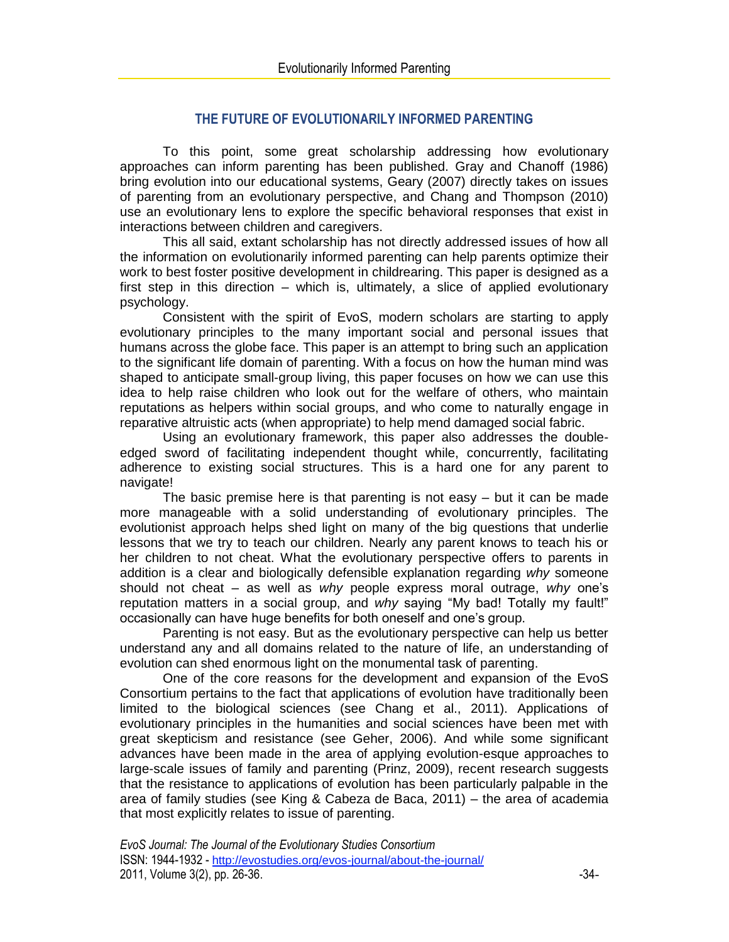# **THE FUTURE OF EVOLUTIONARILY INFORMED PARENTING**

To this point, some great scholarship addressing how evolutionary approaches can inform parenting has been published. Gray and Chanoff (1986) bring evolution into our educational systems, Geary (2007) directly takes on issues of parenting from an evolutionary perspective, and Chang and Thompson (2010) use an evolutionary lens to explore the specific behavioral responses that exist in interactions between children and caregivers.

This all said, extant scholarship has not directly addressed issues of how all the information on evolutionarily informed parenting can help parents optimize their work to best foster positive development in childrearing. This paper is designed as a first step in this direction – which is, ultimately, a slice of applied evolutionary psychology.

Consistent with the spirit of EvoS, modern scholars are starting to apply evolutionary principles to the many important social and personal issues that humans across the globe face. This paper is an attempt to bring such an application to the significant life domain of parenting. With a focus on how the human mind was shaped to anticipate small-group living, this paper focuses on how we can use this idea to help raise children who look out for the welfare of others, who maintain reputations as helpers within social groups, and who come to naturally engage in reparative altruistic acts (when appropriate) to help mend damaged social fabric.

Using an evolutionary framework, this paper also addresses the doubleedged sword of facilitating independent thought while, concurrently, facilitating adherence to existing social structures. This is a hard one for any parent to navigate!

The basic premise here is that parenting is not easy – but it can be made more manageable with a solid understanding of evolutionary principles. The evolutionist approach helps shed light on many of the big questions that underlie lessons that we try to teach our children. Nearly any parent knows to teach his or her children to not cheat. What the evolutionary perspective offers to parents in addition is a clear and biologically defensible explanation regarding *why* someone should not cheat – as well as *why* people express moral outrage, *why* one's reputation matters in a social group, and *why* saying "My bad! Totally my fault!" occasionally can have huge benefits for both oneself and one's group.

Parenting is not easy. But as the evolutionary perspective can help us better understand any and all domains related to the nature of life, an understanding of evolution can shed enormous light on the monumental task of parenting.

One of the core reasons for the development and expansion of the EvoS Consortium pertains to the fact that applications of evolution have traditionally been limited to the biological sciences (see Chang et al., 2011). Applications of evolutionary principles in the humanities and social sciences have been met with great skepticism and resistance (see Geher, 2006). And while some significant advances have been made in the area of applying evolution-esque approaches to large-scale issues of family and parenting (Prinz, 2009), recent research suggests that the resistance to applications of evolution has been particularly palpable in the area of family studies (see King & Cabeza de Baca, 2011) – the area of academia that most explicitly relates to issue of parenting.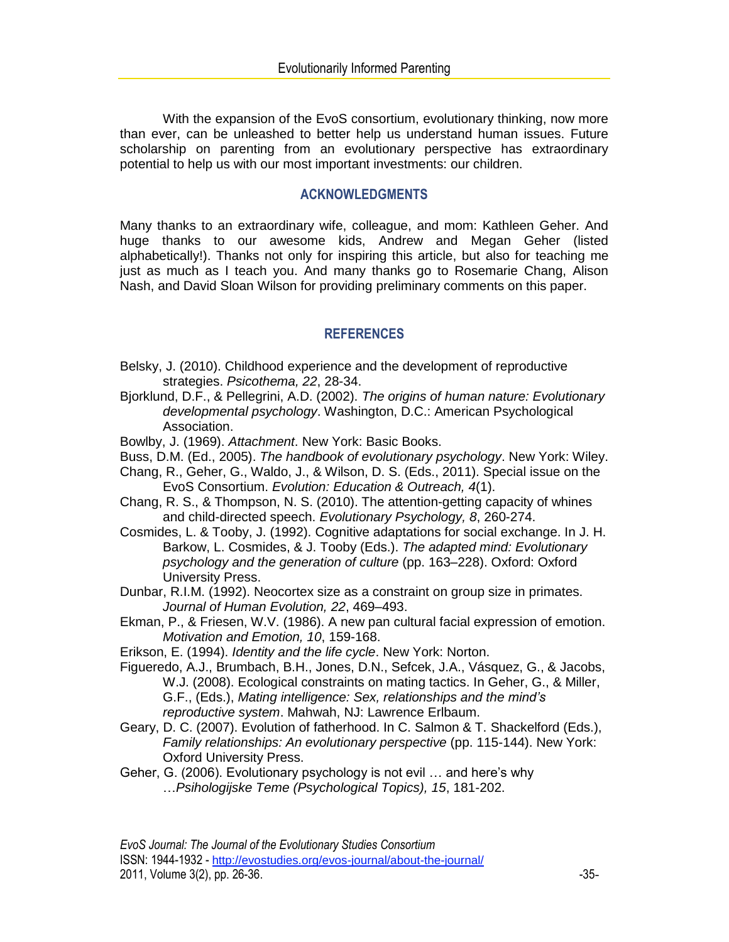With the expansion of the EvoS consortium, evolutionary thinking, now more than ever, can be unleashed to better help us understand human issues. Future scholarship on parenting from an evolutionary perspective has extraordinary potential to help us with our most important investments: our children.

#### **ACKNOWLEDGMENTS**

Many thanks to an extraordinary wife, colleague, and mom: Kathleen Geher. And huge thanks to our awesome kids, Andrew and Megan Geher (listed alphabetically!). Thanks not only for inspiring this article, but also for teaching me just as much as I teach you. And many thanks go to Rosemarie Chang, Alison Nash, and David Sloan Wilson for providing preliminary comments on this paper.

## **REFERENCES**

- Belsky, J. (2010). Childhood experience and the development of reproductive strategies. *Psicothema, 22*, 28-34.
- Bjorklund, D.F., & Pellegrini, A.D. (2002). *The origins of human nature: Evolutionary developmental psychology*. Washington, D.C.: American Psychological Association.
- Bowlby, J. (1969). *Attachment*. New York: Basic Books.
- Buss, D.M. (Ed., 2005). *The handbook of evolutionary psychology*. New York: Wiley.
- Chang, R., Geher, G., Waldo, J., & Wilson, D. S. (Eds., 2011). Special issue on the EvoS Consortium. *Evolution: Education & Outreach, 4*(1).
- Chang, R. S., & Thompson, N. S. (2010). The attention-getting capacity of whines and child-directed speech. *Evolutionary Psychology, 8*, 260-274.
- Cosmides, L. & Tooby, J. (1992). Cognitive adaptations for social exchange. In J. H. Barkow, L. Cosmides, & J. Tooby (Eds.). *The adapted mind: Evolutionary psychology and the generation of culture* (pp. 163–228). Oxford: Oxford University Press.
- Dunbar, R.I.M. (1992). Neocortex size as a constraint on group size in primates. *Journal of Human Evolution, 22*, 469–493.
- Ekman, P., & Friesen, W.V. (1986). A new pan cultural facial expression of emotion. *Motivation and Emotion, 10*, 159-168.
- Erikson, E. (1994). *Identity and the life cycle*. New York: Norton.
- Figueredo, A.J., Brumbach, B.H., Jones, D.N., Sefcek, J.A., Vásquez, G., & Jacobs, W.J. (2008). Ecological constraints on mating tactics. In Geher, G., & Miller, G.F., (Eds.), *Mating intelligence: Sex, relationships and the mind's reproductive system*. Mahwah, NJ: Lawrence Erlbaum.
- Geary, D. C. (2007). Evolution of fatherhood. In C. Salmon & T. Shackelford (Eds.), *Family relationships: An evolutionary perspective* (pp. 115-144). New York: Oxford University Press.
- Geher, G. (2006). Evolutionary psychology is not evil … and here's why …*Psihologijske Teme (Psychological Topics), 15*, 181-202.

*EvoS Journal: The Journal of the Evolutionary Studies Consortium* ISSN: 1944-1932 - http://evostudies.org/evos-journal/about-the-journal/ 2011, Volume 3(2), pp. 26-36.  $-35-$